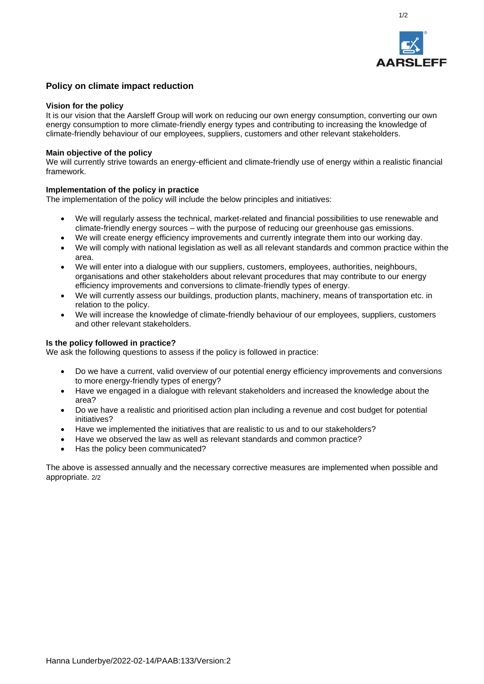

1/2

# **Policy on climate impact reduction**

#### **Vision for the policy**

It is our vision that the Aarsleff Group will work on reducing our own energy consumption, converting our own energy consumption to more climate-friendly energy types and contributing to increasing the knowledge of climate-friendly behaviour of our employees, suppliers, customers and other relevant stakeholders.

### **Main objective of the policy**

We will currently strive towards an energy-efficient and climate-friendly use of energy within a realistic financial framework.

## **Implementation of the policy in practice**

The implementation of the policy will include the below principles and initiatives:

- We will regularly assess the technical, market-related and financial possibilities to use renewable and climate-friendly energy sources – with the purpose of reducing our greenhouse gas emissions.
- We will create energy efficiency improvements and currently integrate them into our working day.
- We will comply with national legislation as well as all relevant standards and common practice within the area.
- We will enter into a dialogue with our suppliers, customers, employees, authorities, neighbours, organisations and other stakeholders about relevant procedures that may contribute to our energy efficiency improvements and conversions to climate-friendly types of energy.
- We will currently assess our buildings, production plants, machinery, means of transportation etc. in relation to the policy.
- We will increase the knowledge of climate-friendly behaviour of our employees, suppliers, customers and other relevant stakeholders.

## **Is the policy followed in practice?**

We ask the following questions to assess if the policy is followed in practice:

- Do we have a current, valid overview of our potential energy efficiency improvements and conversions to more energy-friendly types of energy?
- Have we engaged in a dialogue with relevant stakeholders and increased the knowledge about the area?
- Do we have a realistic and prioritised action plan including a revenue and cost budget for potential initiatives?
- Have we implemented the initiatives that are realistic to us and to our stakeholders?
- Have we observed the law as well as relevant standards and common practice?
- Has the policy been communicated?

The above is assessed annually and the necessary corrective measures are implemented when possible and appropriate. 2/2